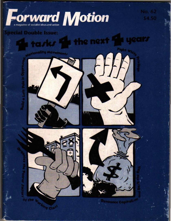

the next

# **ecial Double Issue:**

**OVernent,** 

tarks **Fo** 







No. 62

**CITY** 

\$4.50

**Ounce Capitalize**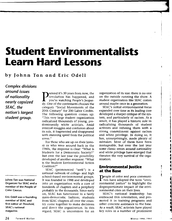# **Student Environmentalists Learn Hard Lessons.**

## **by Johnn Tan and Eric Odell**

*Complex divisions around issues of nationality nearly capsized SEAC, the nation's largest student group.* 

Johnn Tan was National Organizer for SEAC and a member of the People of **Color Caucus.** 

Eric Odell was a founding member of SEAC and first editor of *Threshold,*  SEAC's national **magazine.** 

Pretend it's 30 years from now, the revolution has happened, and you're watching People's jeopardy. One of the contestants chooses the category "Social Movements of the 20th Century" for 200 Labor Credits. The following question comes up: "This very large student organization radicalized thousands of young, predominantly white activists. Amid internal struggles and confusion about its role, it fragmented and disappeared with stunning speed from the political **scene.'<sup>1</sup>**

For those who are up on their history or who were around back in the 1960s, the response is clear: "What is Students for a Democratic Society?" But over the last year the possibility developed of another response: "What is the Student Environmental Action Coalition?"

SEAC (pronounced "seek") is a national network of college- and high school-based environmental groups. It was founded in 1988 and developed into an organization with a core of hundreds of chapters and a periphery probably in the thousands. Since early on, SEAC has functioned in a fairly mass-democratic fashion; students from SEAC chapters all over the country come together to make decisions and direct the organization. In this regard, SEAC is uncommon for an

organization of its size: there is no one on the outside running the show. A student organization like SEAC comes around maybe once in a generation.

¥

SEAC's initial environmental focus expanded over time as its leading core developed a sharper critique of the system, and particularly of racism. As a result, it has played a historic role in radicalizing thousands of student activists and infusing them with a strong commitment against racism and white privilege. In doing so, it has, unsurprisingly, made plenty of mistakes. Most of them have been manageable, but over the last year some classic errors around nationality and white privilege have emerged that threaten the very survival of the organization.

#### **Environmental Justice at the Base**

People of color and poor communi-ties have adopted the term "environmental justice" to highlight the disproportionate impact of the environmental crisis on their lives.

SEAC's national leadership has embraced this orientation, and promoted it in training programs and other concrete assistance to the base. As a result, SEAC activists have played key roles in a number of prominent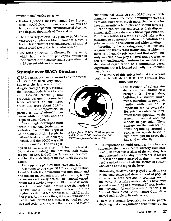- Hydro Quebec's massive James Bay Project, which would flood thousands of square miles of land, cause irreparable environmental damage, and displace thousands of Cree and Inuit
- The University of Arizona's plans to build a large telescope complex on Mount Graham, which is both a last habitat of the endangered red squirrel and a sacred site of the San Carlos Apache
- The toxic pollution in Chester, Pennsylvania, which has the highest per capita number of incinerators in the country and a population that is 65 percent African American

# **Struggle over SEAC's Direction**

SEAC's grassroots work around environmental

Jjustice has been very good. But over the last year a power struggle emerged, largely because the national body failed to provide focused leadership and gradually became disconnected from activists at the base. Questions arose about SEAC's structure and composition, in particular, the relationship between white students and the People of Color Caucus.

This struggle developed both within the national leadership as a whole and within the People of Color Caucus itself. People in national leadership were sharply divided, and the POCC was split down the middle. The crisis par-

alyzed SEAC, and as a result, it lost much of its foundation funding, the national staff either resigned or were laid off, the National Office closed, and half the leadership of the POCC left the organization.

Two opposing political lines have emerged.

According to one view, SEAC is an organization based in both the environmental movement and the student movement; it is predominantly, but by no means exclusively, white. The national organization has a twofold responsibility toward its members. On the one hand, it must serve the needs of its base-that is, it must remain in touch with the original ideals that led people to join SEAC in the first place. At the same time, it has an obligation to lead its base forward to a broader political perspective and social practice, one that is oriented toward

**...** ~,============================;;;;;;:;;;;;;;;;;;;r;;~l!!!l!!llml!ll!!!!!ll

*A logo from SEAC's 1990 conference which drew 7,600 people. The SEAC POCC was founded at this event.* 

environmental justice. As such, SEAC plays a developmental role-people come in wanting to save the trees and leave with much more. People of color have an essential role to play and should have significant organizational resources at their disposal: money, staff time, set-aside political representation. The organization as a whole should take active measures to counteract underrepresentation and patterns of white chauvinism and white privilege.

According to the opposing view, SEAC, like any organization that is based mainly among white students, is inherently privileged and thus racist. The only way SEAC can play a useful and progressive role is to qualitatively transform itself-from a student-based organization to a community-based organization that is located primarily in communities of color.

The authors of this article feel that the second position is "ultraleft." It fails to consider four important points.

- 1. The majority of college students are from middle-class backgrounds. Nevertheless, building the student movement, including its predominantly white section, is important for its own sake. Students have objective interests in direct opposition to the system in general and the schools in particular. These interests are the basis for students organizing around a progressive agenda based in significant part on issues that impact them directly.
- 2. lt is important to build organizations in constituencies that have a "contradictory class location" (like students) as allies of the working class and oppressed nationality movements. If we are to defeat the forces arrayed against us, we will need a united front of all the sectors of society who aren't at the top of the heap.
- 3. Historically, students have played a catalytic role in the emergence and development of popular movements-both here and in countries around the world. At certain points students have even played something of a "vanguard" role, leading the movement forward in a new direction. (The Student Nonviolent Coordinating Committee played such a role in its early years.)
- 4. There is a certain hypocrisy in white people declaring that an organization that brought them